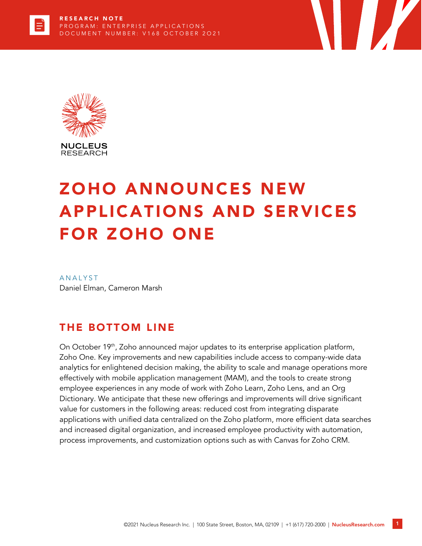



# ZOHO ANNOUNCES NEW APPLICATIONS AND SERVICES FOR ZOHO ONE

**ANALYST** Daniel Elman, Cameron Marsh

#### THE BOTTOM LINE

On October 19<sup>th</sup>, Zoho announced major updates to its enterprise application platform, Zoho One. Key improvements and new capabilities include access to company-wide data analytics for enlightened decision making, the ability to scale and manage operations more effectively with mobile application management (MAM), and the tools to create strong employee experiences in any mode of work with Zoho Learn, Zoho Lens, and an Org Dictionary. We anticipate that these new offerings and improvements will drive significant value for customers in the following areas: reduced cost from integrating disparate applications with unified data centralized on the Zoho platform, more efficient data searches and increased digital organization, and increased employee productivity with automation, process improvements, and customization options such as with Canvas for Zoho CRM.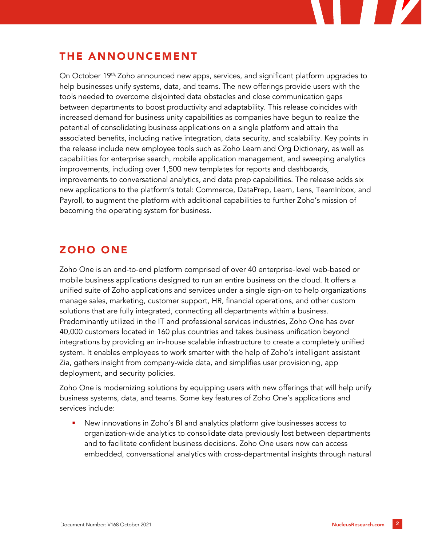### THE ANNOUNCEMENT

On October 19<sup>th,</sup> Zoho announced new apps, services, and significant platform upgrades to help businesses unify systems, data, and teams. The new offerings provide users with the tools needed to overcome disjointed data obstacles and close communication gaps between departments to boost productivity and adaptability. This release coincides with increased demand for business unity capabilities as companies have begun to realize the potential of consolidating business applications on a single platform and attain the associated benefits, including native integration, data security, and scalability. Key points in the release include new employee tools such as Zoho Learn and Org Dictionary, as well as capabilities for enterprise search, mobile application management, and sweeping analytics improvements, including over 1,500 new templates for reports and dashboards, improvements to conversational analytics, and data prep capabilities. The release adds six new applications to the platform's total: Commerce, DataPrep, Learn, Lens, TeamInbox, and Payroll, to augment the platform with additional capabilities to further Zoho's mission of becoming the operating system for business.

#### ZOHO ONE

Zoho One is an end-to-end platform comprised of over 40 enterprise-level web-based or mobile business applications designed to run an entire business on the cloud. It offers a unified suite of Zoho applications and services under a single sign-on to help organizations manage sales, marketing, customer support, HR, financial operations, and other custom solutions that are fully integrated, connecting all departments within a business. Predominantly utilized in the IT and professional services industries, Zoho One has over 40,000 customers located in 160 plus countries and takes business unification beyond integrations by providing an in-house scalable infrastructure to create a completely unified system. It enables employees to work smarter with the help of Zoho's intelligent assistant Zia, gathers insight from company-wide data, and simplifies user provisioning, app deployment, and security policies.

Zoho One is modernizing solutions by equipping users with new offerings that will help unify business systems, data, and teams. Some key features of Zoho One's applications and services include:

New innovations in Zoho's BI and analytics platform give businesses access to organization-wide analytics to consolidate data previously lost between departments and to facilitate confident business decisions. Zoho One users now can access embedded, conversational analytics with cross-departmental insights through natural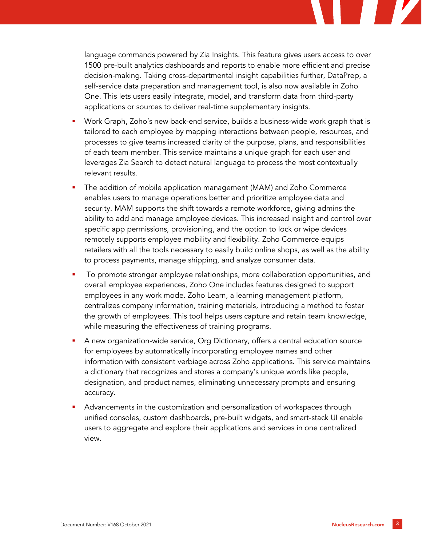language commands powered by Zia Insights. This feature gives users access to over 1500 pre-built analytics dashboards and reports to enable more efficient and precise decision-making. Taking cross-departmental insight capabilities further, DataPrep, a self-service data preparation and management tool, is also now available in Zoho One. This lets users easily integrate, model, and transform data from third-party applications or sources to deliver real-time supplementary insights.

- Work Graph, Zoho's new back-end service, builds a business-wide work graph that is tailored to each employee by mapping interactions between people, resources, and processes to give teams increased clarity of the purpose, plans, and responsibilities of each team member. This service maintains a unique graph for each user and leverages Zia Search to detect natural language to process the most contextually relevant results.
- The addition of mobile application management (MAM) and Zoho Commerce enables users to manage operations better and prioritize employee data and security. MAM supports the shift towards a remote workforce, giving admins the ability to add and manage employee devices. This increased insight and control over specific app permissions, provisioning, and the option to lock or wipe devices remotely supports employee mobility and flexibility. Zoho Commerce equips retailers with all the tools necessary to easily build online shops, as well as the ability to process payments, manage shipping, and analyze consumer data.
- To promote stronger employee relationships, more collaboration opportunities, and overall employee experiences, Zoho One includes features designed to support employees in any work mode. Zoho Learn, a learning management platform, centralizes company information, training materials, introducing a method to foster the growth of employees. This tool helps users capture and retain team knowledge, while measuring the effectiveness of training programs.
- A new organization-wide service, Org Dictionary, offers a central education source for employees by automatically incorporating employee names and other information with consistent verbiage across Zoho applications. This service maintains a dictionary that recognizes and stores a company's unique words like people, designation, and product names, eliminating unnecessary prompts and ensuring accuracy.
- Advancements in the customization and personalization of workspaces through unified consoles, custom dashboards, pre-built widgets, and smart-stack UI enable users to aggregate and explore their applications and services in one centralized view.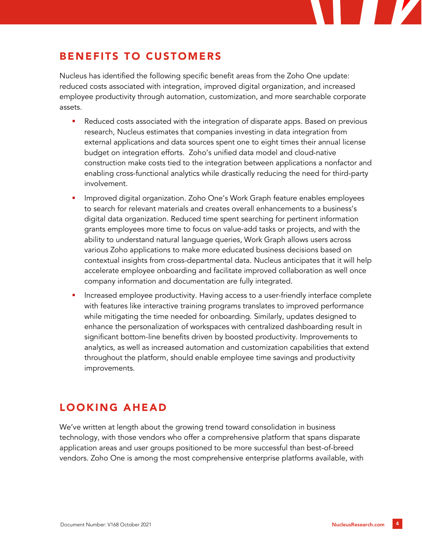## BENEFITS TO CUSTOMERS

Nucleus has identified the following specific benefit areas from the Zoho One update: reduced costs associated with integration, improved digital organization, and increased employee productivity through automation, customization, and more searchable corporate assets.

- Reduced costs associated with the integration of disparate apps. Based on previous research, Nucleus estimates that companies investing in data integration from external applications and data sources spent one to eight times their annual license budget on integration efforts. Zoho's unified data model and cloud-native construction make costs tied to the integration between applications a nonfactor and enabling cross-functional analytics while drastically reducing the need for third-party involvement.
- Improved digital organization. Zoho One's Work Graph feature enables employees to search for relevant materials and creates overall enhancements to a business's digital data organization. Reduced time spent searching for pertinent information grants employees more time to focus on value-add tasks or projects, and with the ability to understand natural language queries, Work Graph allows users across various Zoho applications to make more educated business decisions based on contextual insights from cross-departmental data. Nucleus anticipates that it will help accelerate employee onboarding and facilitate improved collaboration as well once company information and documentation are fully integrated.
- Increased employee productivity. Having access to a user-friendly interface complete with features like interactive training programs translates to improved performance while mitigating the time needed for onboarding. Similarly, updates designed to enhance the personalization of workspaces with centralized dashboarding result in significant bottom-line benefits driven by boosted productivity. Improvements to analytics, as well as increased automation and customization capabilities that extend throughout the platform, should enable employee time savings and productivity improvements.

## LOOKING AHEAD

We've written at length about the growing trend toward consolidation in business technology, with those vendors who offer a comprehensive platform that spans disparate application areas and user groups positioned to be more successful than best-of-breed vendors. Zoho One is among the most comprehensive enterprise platforms available, with